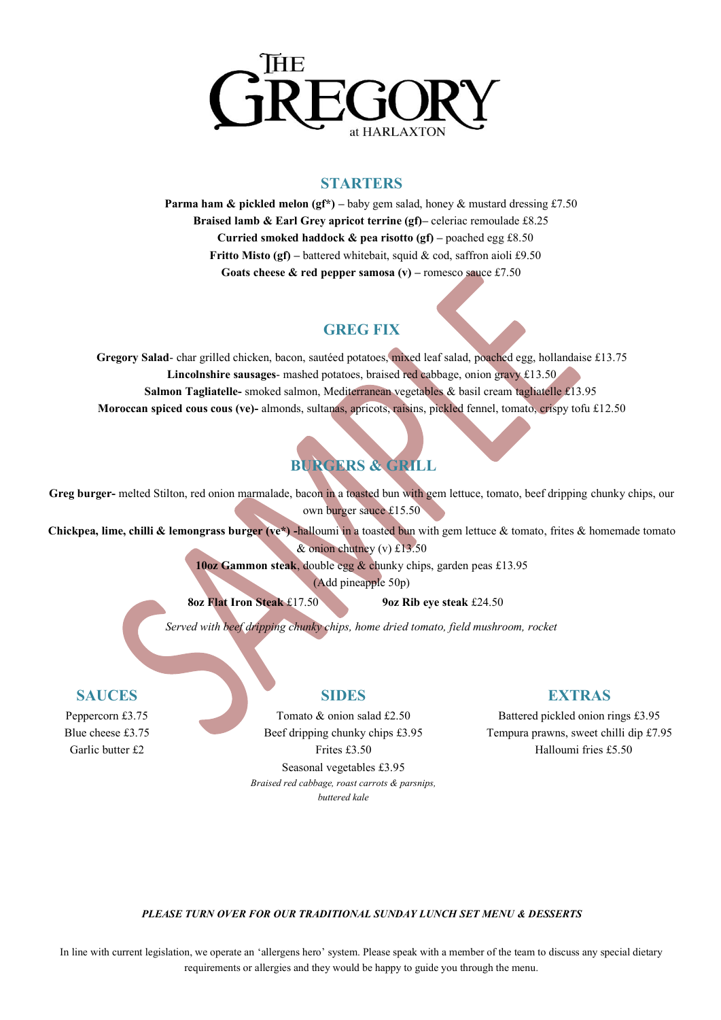

### **STARTERS**

**Parma ham & pickled melon (** $gf^*$ **) – baby gem salad, honey & mustard dressing £7.50 Braised lamb & Earl Grey apricot terrine (gf)–** celeriac remoulade £8.25 **Curried smoked haddock**  $\&$  **pea risotto (gf) – poached egg £8.50 Fritto Misto (gf)** – battered whitebait, squid & cod, saffron aioli £9.50 **Goats cheese & red pepper samosa (v) – romesco sauce £7.50** 

# **GREG FIX**

**Gregory Salad**- char grilled chicken, bacon, sautéed potatoes, mixed leaf salad, poached egg, hollandaise £13.75 **Lincolnshire sausages**- mashed potatoes, braised red cabbage, onion gravy £13.50 **Salmon Tagliatelle-** smoked salmon, Mediterranean vegetables & basil cream tagliatelle £13.95 **Moroccan spiced cous cous (ve)-** almonds, sultanas, apricots, raisins, pickled fennel, tomato, crispy tofu £12.50

# **BURGERS & GRILL**

**Greg burger-** melted Stilton, red onion marmalade, bacon in a toasted bun with gem lettuce, tomato, beef dripping chunky chips, our own burger sauce £15.50

**Chickpea, lime, chilli & lemongrass burger (ve\*) -**halloumi in a toasted bun with gem lettuce & tomato, frites & homemade tomato & onion chutney (v)  $£13.50$ 

**10oz Gammon steak**, double egg & chunky chips, garden peas £13.95

(Add pineapple 50p)

**8oz Flat Iron Steak** £17.50 **9oz Rib eye steak** £24.50

*Served with beef dripping chunky chips, home dried tomato, field mushroom, rocket*

# **SAUCES**

Peppercorn £3.75 Blue cheese £3.75 Garlic butter £2

# **SIDES**

Tomato & onion salad £2.50 Beef dripping chunky chips £3.95 Frites £3.50 Seasonal vegetables £3.95 *Braised red cabbage, roast carrots & parsnips, buttered kale*

# **EXTRAS**

Battered pickled onion rings £3.95 Tempura prawns, sweet chilli dip £7.95 Halloumi fries £5.50

#### *PLEASE TURN OVER FOR OUR TRADITIONAL SUNDAY LUNCH SET MENU & DESSERTS*

In line with current legislation, we operate an 'allergens hero' system. Please speak with a member of the team to discuss any special dietary requirements or allergies and they would be happy to guide you through the menu.